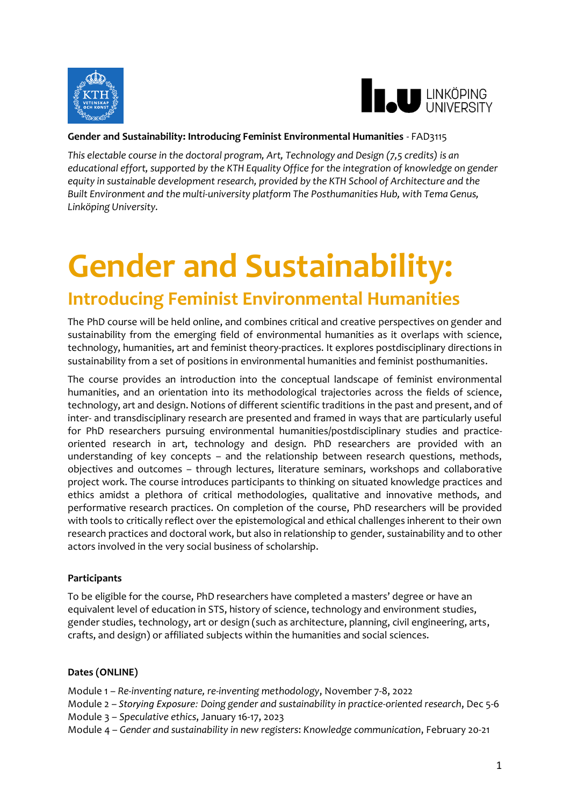



# **Gender and Sustainability: Introducing Feminist Environmental Humanities** - FAD3115

*This electable course in the doctoral program, Art, Technology and Design (7,5 credits) is an educational effort, supported by the KTH Equality Office for the integration of knowledge on gender equity in sustainable development research, provided by the KTH School of Architecture and the Built Environment and the multi-university platform The Posthumanities Hub, with Tema Genus, Linköping University.*

# **Gender and Sustainability:**

# **Introducing Feminist Environmental Humanities**

The PhD course will be held online, and combines critical and creative perspectives on gender and sustainability from the emerging field of environmental humanities as it overlaps with science, technology, humanities, art and feminist theory-practices. It explores postdisciplinary directions in sustainability from a set of positions in environmental humanities and feminist posthumanities.

The course provides an introduction into the conceptual landscape of feminist environmental humanities, and an orientation into its methodological trajectories across the fields of science, technology, art and design. Notions of different scientific traditions in the past and present, and of inter- and transdisciplinary research are presented and framed in ways that are particularly useful for PhD researchers pursuing environmental humanities/postdisciplinary studies and practiceoriented research in art, technology and design. PhD researchers are provided with an understanding of key concepts – and the relationship between research questions, methods, objectives and outcomes – through lectures, literature seminars, workshops and collaborative project work. The course introduces participants to thinking on situated knowledge practices and ethics amidst a plethora of critical methodologies, qualitative and innovative methods, and performative research practices. On completion of the course, PhD researchers will be provided with tools to critically reflect over the epistemological and ethical challenges inherent to their own research practices and doctoral work, but also in relationship to gender, sustainability and to other actors involved in the very social business of scholarship.

# **Participants**

To be eligible for the course, PhD researchers have completed a masters' degree or have an equivalent level of education in STS, history of science, technology and environment studies, gender studies, technology, art or design (such as architecture, planning, civil engineering, arts, crafts, and design) or affiliated subjects within the humanities and social sciences.

#### **Dates (ONLINE)**

- Module 1 *Re-inventing nature, re-inventing methodology*, November 7-8, 2022
- Module 2 *Storying Exposure: Doing gender and sustainability in practice-oriented research*, Dec 5-6
- Module 3 *Speculative ethics*, January 16-17, 2023
- Module 4 *Gender and sustainability in new registers*: *Knowledge communication*, February 20-21